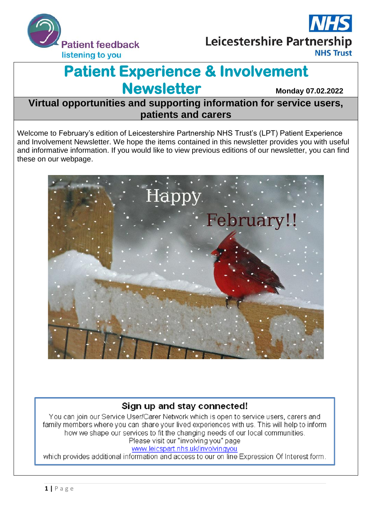



# **Patient Experience & Involvement Newsletter Monday 07.02.2022**

**Virtual opportunities and supporting information for service users, patients and carers**

Welcome to February's edition of Leicestershire Partnership NHS Trust's (LPT) Patient Experience and Involvement Newsletter. We hope the items contained in this newsletter provides you with useful and informative information. If you would like to view previous editions of our newsletter, you can find these on our webpage.



### Sign up and stay connected!

You can join our Service User/Carer Network which is open to service users, carers and family members where you can share your lived experiences with us. This will help to inform how we shape our services to fit the changing needs of our local communities. Please visit our "involving you" page

### www.leicspart.nhs.uk/involvingyou

which provides additional information and access to our on line Expression Of Interest form.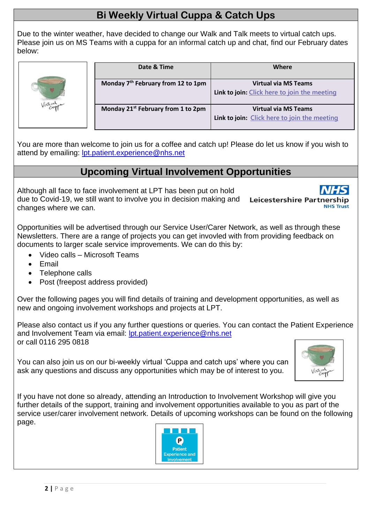## **Bi Weekly Virtual Cuppa & Catch Ups**

Due to the winter weather, have decided to change our Walk and Talk meets to virtual catch ups. Please join us on MS Teams with a cuppa for an informal catch up and chat, find our February dates below:



| Date & Time                                    | Where                                        |
|------------------------------------------------|----------------------------------------------|
| Monday 7 <sup>th</sup> February from 12 to 1pm | <b>Virtual via MS Teams</b>                  |
|                                                | Link to join: Click here to join the meeting |
| Monday 21 <sup>st</sup> February from 1 to 2pm | <b>Virtual via MS Teams</b>                  |
|                                                | Link to join: Click here to join the meeting |

You are more than welcome to join us for a coffee and catch up! Please do let us know if you wish to attend by emailing: **lpt.patient.experience@nhs.net** 

## **Upcoming Virtual Involvement Opportunities**

Although all face to face involvement at LPT has been put on hold due to Covid-19, we still want to involve you in decision making and changes where we can.

**Leicestershire Partner** 

Opportunities will be advertised through our Service User/Carer Network, as well as through these Newsletters. There are a range of projects you can get invovled with from providing feedback on documents to larger scale service improvements. We can do this by:

- Video calls Microsoft Teams
- Email
- Telephone calls
- Post (freepost address provided)

Over the following pages you will find details of training and development opportunities, as well as new and ongoing involvement workshops and projects at LPT.

Please also contact us if you any further questions or queries. You can contact the Patient Experience and Involvement Team via email: [lpt.patient.experience@nhs.net](mailto:lpt.patient.experience@nhs.net) or call 0116 295 0818

You can also join us on our bi-weekly virtual 'Cuppa and catch ups' where you can ask any questions and discuss any opportunities which may be of interest to you.



If you have not done so already, attending an Introduction to Involvement Workshop will give you further details of the support, training and involvement opportunities available to you as part of the service user/carer involvement network. Details of upcoming workshops can be found on the following page.

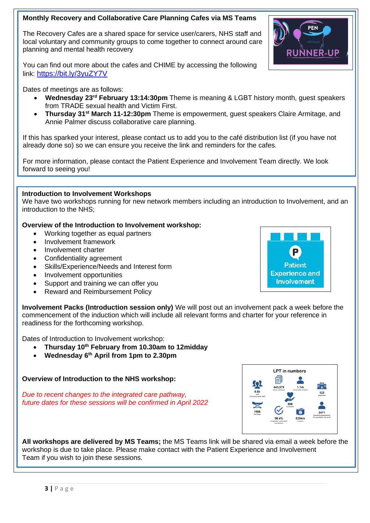### **Monthly Recovery and Collaborative Care Planning Cafes via MS Teams**

The Recovery Cafes are a shared space for service user/carers, NHS staff and local voluntary and community groups to come together to connect around care planning and mental health recovery



You can find out more about the cafes and CHIME by accessing the following link: <https://bit.ly/3yuZY7V>

Dates of meetings are as follows:

- **Wednesday 23rd February 13:14:30pm** Theme is meaning & LGBT history month, guest speakers from TRADE sexual health and Victim First.
- **Thursday 31st March 11-12:30pm** Theme is empowerment, guest speakers Claire Armitage, and Annie Palmer discuss collaborative care planning.

If this has sparked your interest, please contact us to add you to the café distribution list (if you have not already done so) so we can ensure you receive the link and reminders for the cafes.

For more information, please contact the Patient Experience and Involvement Team directly. We look forward to seeing you!

### **Introduction to Involvement Workshops**

We have two workshops running for new network members including an introduction to Involvement, and an introduction to the NHS;

### **Overview of the Introduction to Involvement workshop:**

- Working together as equal partners
- Involvement framework
- Involvement charter
- Confidentiality agreement
- Skills/Experience/Needs and Interest form
- Involvement opportunities
- Support and training we can offer you
- Reward and Reimbursement Policy

**Involvement Packs (Introduction session only)** We will post out an involvement pack a week before the commencement of the induction which will include all relevant forms and charter for your reference in readiness for the forthcoming workshop.

Dates of Introduction to Involvement workshop:

- **Thursday 10th February from 10.30am to 12midday**
- **Wednesday 6th April from 1pm to 2.30pm**

**Overview of Introduction to the NHS workshop:**

*Due to recent changes to the integrated care pathway, future dates for these sessions will be confirmed in April 2022*



**All workshops are delivered by MS Teams;** the MS Teams link will be shared via email a week before the workshop is due to take place. Please make contact with the Patient Experience and Involvement Team if you wish to join these sessions.

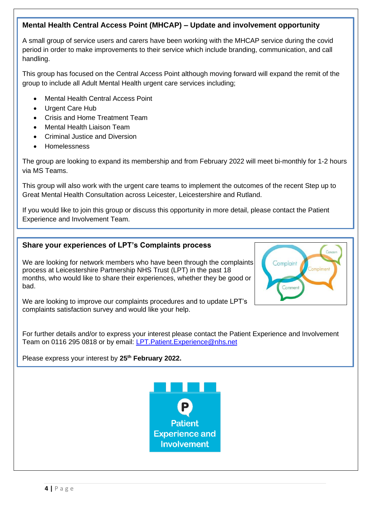### **Mental Health Central Access Point (MHCAP) – Update and involvement opportunity**

A small group of service users and carers have been working with the MHCAP service during the covid period in order to make improvements to their service which include branding, communication, and call handling.

This group has focused on the Central Access Point although moving forward will expand the remit of the group to include all Adult Mental Health urgent care services including;

- Mental Health Central Access Point
- Urgent Care Hub
- Crisis and Home Treatment Team
- Mental Health Liaison Team
- Criminal Justice and Diversion
- Homelessness

The group are looking to expand its membership and from February 2022 will meet bi-monthly for 1-2 hours via MS Teams.

This group will also work with the urgent care teams to implement the outcomes of the recent Step up to Great Mental Health Consultation across Leicester, Leicestershire and Rutland.

If you would like to join this group or discuss this opportunity in more detail, please contact the Patient Experience and Involvement Team.

Complaint

### **Share your experiences of LPT's Complaints process**

We are looking for network members who have been through the complaints process at Leicestershire Partnership NHS Trust (LPT) in the past 18 months, who would like to share their experiences, whether they be good or bad.

We are looking to improve our complaints procedures and to update LPT's complaints satisfaction survey and would like your help.

For further details and/or to express your interest please contact the Patient Experience and Involvement Team on 0116 295 0818 or by email: [LPT.Patient.Experience@nhs.net](mailto:LPT.Patient.Experience@nhs.net)

Please express your interest by **25th February 2022.**

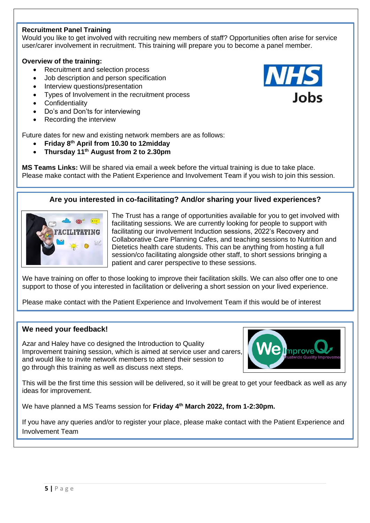### **Recruitment Panel Training**

Would you like to get involved with recruiting new members of staff? Opportunities often arise for service user/carer involvement in recruitment. This training will prepare you to become a panel member.

#### **Overview of the training:**

- Recruitment and selection process
- Job description and person specification
- Interview questions/presentation
- Types of Involvement in the recruitment process
- **Confidentiality**
- Do's and Don'ts for interviewing
- Recording the interview

Future dates for new and existing network members are as follows:

- **Friday 8th April from 10.30 to 12midday**
- **Thursday 11th August from 2 to 2.30pm**

**MS Teams Links:** Will be shared via email a week before the virtual training is due to take place. Please make contact with the Patient Experience and Involvement Team if you wish to join this session.

### **Are you interested in co-facilitating? And/or sharing your lived experiences?**



The Trust has a range of opportunities available for you to get involved with facilitating sessions. We are currently looking for people to support with facilitating our involvement Induction sessions, 2022's Recovery and Collaborative Care Planning Cafes, and teaching sessions to Nutrition and Dietetics health care students. This can be anything from hosting a full session/co facilitating alongside other staff, to short sessions bringing a patient and carer perspective to these sessions.

We have training on offer to those looking to improve their facilitation skills. We can also offer one to one support to those of you interested in facilitation or delivering a short session on your lived experience.

Please make contact with the Patient Experience and Involvement Team if this would be of interest

### **We need your feedback!**

Azar and Haley have co designed the Introduction to Quality Improvement training session, which is aimed at service user and carers, and would like to invite network members to attend their session to go through this training as well as discuss next steps.



This will be the first time this session will be delivered, so it will be great to get your feedback as well as any ideas for improvement.

We have planned a MS Teams session for **Friday 4th March 2022, from 1-2:30pm.**

If you have any queries and/or to register your place, please make contact with the Patient Experience and Involvement Team

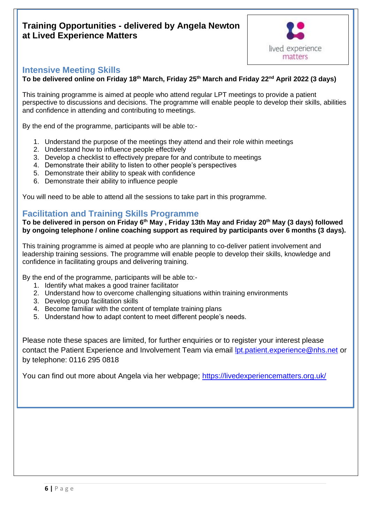### **Training Opportunities - delivered by Angela Newton at Lived Experience Matters**



### **Intensive Meeting Skills**

**To be delivered online on Friday 18th March, Friday 25th March and Friday 22nd April 2022 (3 days)**

This training programme is aimed at people who attend regular LPT meetings to provide a patient perspective to discussions and decisions. The programme will enable people to develop their skills, abilities and confidence in attending and contributing to meetings.

By the end of the programme, participants will be able to:-

- 1. Understand the purpose of the meetings they attend and their role within meetings
- 2. Understand how to influence people effectively
- 3. Develop a checklist to effectively prepare for and contribute to meetings
- 4. Demonstrate their ability to listen to other people's perspectives
- 5. Demonstrate their ability to speak with confidence
- 6. Demonstrate their ability to influence people

You will need to be able to attend all the sessions to take part in this programme.

### **Facilitation and Training Skills Programme**

**To be delivered in person on Friday 6th May , Friday 13th May and Friday 20th May (3 days) followed by ongoing telephone / online coaching support as required by participants over 6 months (3 days).**

This training programme is aimed at people who are planning to co-deliver patient involvement and leadership training sessions. The programme will enable people to develop their skills, knowledge and confidence in facilitating groups and delivering training.

By the end of the programme, participants will be able to:-

- 1. Identify what makes a good trainer facilitator
- 2. Understand how to overcome challenging situations within training environments
- 3. Develop group facilitation skills
- 4. Become familiar with the content of template training plans
- 5. Understand how to adapt content to meet different people's needs.

Please note these spaces are limited, for further enquiries or to register your interest please contact the Patient Experience and Involvement Team via email [lpt.patient.experience@nhs.net](mailto:lpt.patient.experience@nhs.net) or by telephone: 0116 295 0818

You can find out more about Angela via her webpage;<https://livedexperiencematters.org.uk/>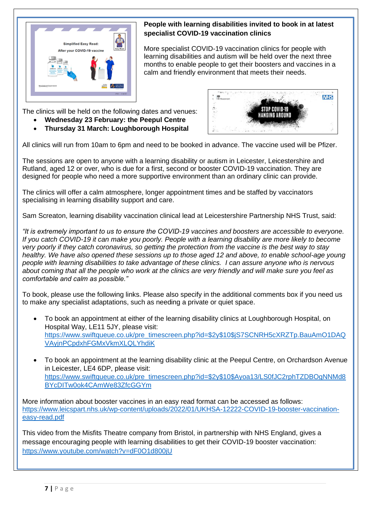

### **People with learning disabilities invited to book in at latest specialist COVID-19 vaccination clinics**

More specialist COVID-19 vaccination clinics for people with learning disabilities and autism will be held over the next three months to enable people to get their boosters and vaccines in a calm and friendly environment that meets their needs.

The clinics will be held on the following dates and venues:

- **Wednesday 23 February: the Peepul Centre**
- **Thursday 31 March: Loughborough Hospital**



All clinics will run from 10am to 6pm and need to be booked in advance. The vaccine used will be Pfizer.

The sessions are open to anyone with a learning disability or autism in Leicester, Leicestershire and Rutland, aged 12 or over, who is due for a first, second or booster COVID-19 vaccination. They are designed for people who need a more supportive environment than an ordinary clinic can provide.

The clinics will offer a calm atmosphere, longer appointment times and be staffed by vaccinators specialising in learning disability support and care.

Sam Screaton, learning disability vaccination clinical lead at Leicestershire Partnership NHS Trust, said:

*"It is extremely important to us to ensure the COVID-19 vaccines and boosters are accessible to everyone. If you catch COVID-19 it can make you poorly. People with a learning disability are more likely to become very poorly if they catch coronavirus, so getting the protection from the vaccine is the best way to stay healthy. We have also opened these sessions up to those aged 12 and above, to enable school-age young people with learning disabilities to take advantage of these clinics. I can assure anyone who is nervous about coming that all the people who work at the clinics are very friendly and will make sure you feel as comfortable and calm as possible."*

To book, please use the following links. Please also specify in the additional comments box if you need us to make any specialist adaptations, such as needing a private or quiet space.

- To book an appointment at either of the learning disability clinics at Loughborough Hospital, on Hospital Way, LE11 5JY, please visit: https://www.swiftqueue.co.uk/pre\_timescreen.php?id=\$2y\$10\$iS7SCNRH5cXRZTp.BauAmO1DAQ [VAyjnPCpdxhFGMxVkmXLQLYhdiK](https://www.swiftqueue.co.uk/pre_timescreen.php?id=$2y$10$jS7SCNRH5cXRZTp.BauAmO1DAQVAyjnPCpdxhFGMxVkmXLQLYhdiK)
- To book an appointment at the learning disability clinic at the Peepul Centre, on Orchardson Avenue in Leicester, LE4 6DP, please visit: [https://www.swiftqueue.co.uk/pre\\_timescreen.php?id=\\$2y\\$10\\$Ayoa13/LS0fJC2rphTZDBOgNNMd8](https://www.swiftqueue.co.uk/pre_timescreen.php?id=$2y$10$Ayoa13/LS0fJC2rphTZDBOgNNMd8BYcDITw0ok4CAmWe83ZfcGGYm) [BYcDITw0ok4CAmWe83ZfcGGYm](https://www.swiftqueue.co.uk/pre_timescreen.php?id=$2y$10$Ayoa13/LS0fJC2rphTZDBOgNNMd8BYcDITw0ok4CAmWe83ZfcGGYm)

More information about booster vaccines in an easy read format can be accessed as follows: [https://www.leicspart.nhs.uk/wp-content/uploads/2022/01/UKHSA-12222-COVID-19-booster-vaccination](https://www.leicspart.nhs.uk/wp-content/uploads/2022/01/UKHSA-12222-COVID-19-booster-vaccination-easy-read.pdf)[easy-read.pdf](https://www.leicspart.nhs.uk/wp-content/uploads/2022/01/UKHSA-12222-COVID-19-booster-vaccination-easy-read.pdf)

This video from the Misfits Theatre company from Bristol, in partnership with NHS England, gives a message encouraging people with learning disabilities to get their COVID-19 booster vaccination: <https://www.youtube.com/watch?v=dF0O1d800jU>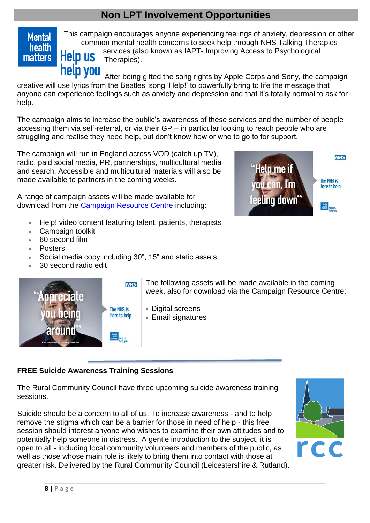## **Non LPT Involvement Opportunities**

## **Mental health matters**

This campaign encourages anyone experiencing feelings of anxiety, depression or other common mental health concerns to seek help through NHS Talking Therapies services (also known as IAPT- Improving Access to Psychological **Help us** Therapies).

help you After being gifted the song rights by Apple Corps and Sony, the campaign creative will use lyrics from the Beatles' song 'Help!' to powerfully bring to life the message that anyone can experience feelings such as anxiety and depression and that it's totally normal to ask for help.

The campaign aims to increase the public's awareness of these services and the number of people accessing them via self-referral, or via their GP – in particular looking to reach people who are struggling and realise they need help, but don't know how or who to go to for support.

The campaign will run in England across VOD (catch up TV), radio, paid social media, PR, partnerships, multicultural media and search. Accessible and multicultural materials will also be made available to partners in the coming weeks.

A range of campaign assets will be made available for download from the [Campaign Resource Centre](http://links.e.phepartnerships.co.uk/els/v2/rNWkB8kKDws9/aStXd1dNbVYvK3dlRnBIbHZoVHZIK3J3U29KMUQvclJaMmFlQTkwSVl6YXkvNksxZjJmS2tFclhJbHJYY1cxRVBPSzhTR3Zxc0tia0Rodkw4dHMzUHhmeHB1OUI1UWE0T0pja3ppc3hsNWs9S0/) including:

- Help! video content featuring talent, patients, therapists
- Campaign toolkit
- 60 second film
- **Posters**
- Social media copy including 30", 15" and static assets
- 30 second radio edit



**NHS** nnreciate The NHS is neino here to help around

The following assets will be made available in the coming week, also for download via the Campaign Resource Centre:

- Digital screens
- Email signatures

### **FREE Suicide Awareness Training Sessions**

The Rural Community Council have three upcoming suicide awareness training sessions.

Suicide should be a concern to all of us. To increase awareness - and to help remove the stigma which can be a barrier for those in need of help - this free session should interest anyone who wishes to examine their own attitudes and to potentially help someone in distress. A gentle introduction to the subject, it is open to all - including local community volunteers and members of the public, as well as those whose main role is likely to bring them into contact with those at greater risk. Delivered by the Rural Community Council (Leicestershire & Rutland).

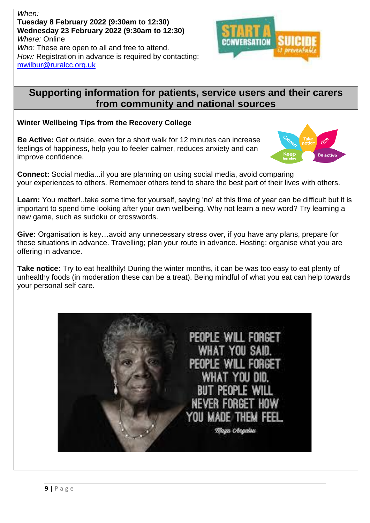*When:*  **Tuesday 8 February 2022 (9:30am to 12:30) Wednesday 23 February 2022 (9:30am to 12:30)** *Where:* Online *Who:* These are open to all and free to attend. *How:* Registration in advance is required by contacting: [mwilbur@ruralcc.org.uk](mailto:mwilbur@ruralcc.org.uk)

## **Supporting information for patients, service users and their carers from community and national sources**

### **Winter Wellbeing Tips from the Recovery College**

**Be Active:** Get outside, even for a short walk for 12 minutes can increase feelings of happiness, help you to feeler calmer, reduces anxiety and can improve confidence.



**Connect:** Social media...if you are planning on using social media, avoid comparing your experiences to others. Remember others tend to share the best part of their lives with others.

Learn: You matter!..take some time for yourself, saying 'no' at this time of year can be difficult but it is important to spend time looking after your own wellbeing. Why not learn a new word? Try learning a new game, such as sudoku or crosswords.

**Give:** Organisation is key…avoid any unnecessary stress over, if you have any plans, prepare for these situations in advance. Travelling; plan your route in advance. Hosting: organise what you are offering in advance.

**Take notice:** Try to eat healthily! During the winter months, it can be was too easy to eat plenty of unhealthy foods (in moderation these can be a treat). Being mindful of what you eat can help towards your personal self care.

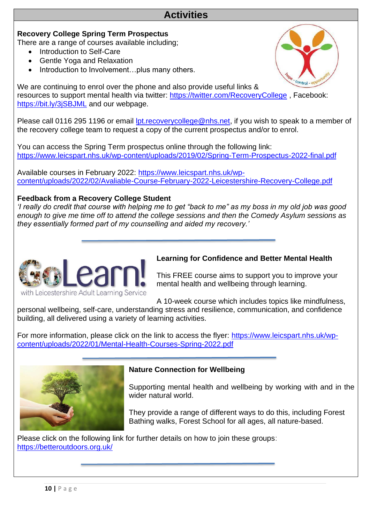## **Activities**

### **Recovery College Spring Term Prospectus**

There are a range of courses available including;

- Introduction to Self-Care
- Gentle Yoga and Relaxation
- Introduction to Involvement...plus many others.

We are continuing to enrol over the phone and also provide useful links & resources to support mental health via twitter:<https://twitter.com/RecoveryCollege> , Facebook: <https://bit.ly/3jSBJML> and our webpage.

Please call 0116 295 1196 or email [lpt.recoverycollege@nhs.net,](mailto:lpt.recoverycollege@nhs.net) if you wish to speak to a member of the recovery college team to request a copy of the current prospectus and/or to enrol.

You can access the Spring Term prospectus online through the following link: <https://www.leicspart.nhs.uk/wp-content/uploads/2019/02/Spring-Term-Prospectus-2022-final.pdf>

Available courses in February 2022: [https://www.leicspart.nhs.uk/wp](https://www.leicspart.nhs.uk/wp-content/uploads/2022/02/Avaliable-Course-February-2022-Leicestershire-Recovery-College.pdf)[content/uploads/2022/02/Avaliable-Course-February-2022-Leicestershire-Recovery-College.pdf](https://www.leicspart.nhs.uk/wp-content/uploads/2022/02/Avaliable-Course-February-2022-Leicestershire-Recovery-College.pdf) 

### **Feedback from a Recovery College Student**

*'I really do credit that course with helping me to get "back to me" as my boss in my old job was good enough to give me time off to attend the college sessions and then the Comedy Asylum sessions as they essentially formed part of my counselling and aided my recovery.'* 



### **Learning for Confidence and Better Mental Health**

This FREE course aims to support you to improve your mental health and wellbeing through learning.

A 10-week course which includes topics like mindfulness,

personal wellbeing, self-care, understanding stress and resilience, communication, and confidence building, all delivered using a variety of learning activities.

For more information, please click on the link to access the flyer: [https://www.leicspart.nhs.uk/wp](https://www.leicspart.nhs.uk/wp-content/uploads/2022/01/Mental-Health-Courses-Spring-2022.pdf)[content/uploads/2022/01/Mental-Health-Courses-Spring-2022.pdf](https://www.leicspart.nhs.uk/wp-content/uploads/2022/01/Mental-Health-Courses-Spring-2022.pdf)



### **Nature Connection for Wellbeing**

Supporting mental health and wellbeing by working with and in the wider natural world.

They provide a range of different ways to do this, including Forest Bathing walks, Forest School for all ages, all nature-based.

Please click on the following link for further details on how to join these groups: <https://betteroutdoors.org.uk/>

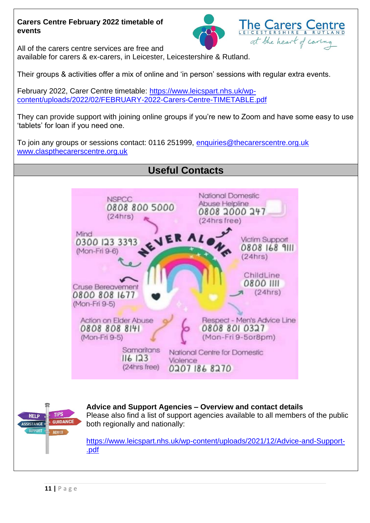### **Carers Centre February 2022 timetable of events**



All of the carers centre services are free and available for carers & ex-carers, in Leicester, Leicestershire & Rutland.

Their groups & activities offer a mix of online and 'in person' sessions with regular extra events.

February 2022, Carer Centre timetable: [https://www.leicspart.nhs.uk/wp](https://www.leicspart.nhs.uk/wp-content/uploads/2022/02/FEBRUARY-2022-Carers-Centre-TIMETABLE.pdf)[content/uploads/2022/02/FEBRUARY-2022-Carers-Centre-TIMETABLE.pdf](https://www.leicspart.nhs.uk/wp-content/uploads/2022/02/FEBRUARY-2022-Carers-Centre-TIMETABLE.pdf)

They can provide support with joining online groups if you're new to Zoom and have some easy to use 'tablets' for loan if you need one.

To join any groups or sessions contact: 0116 251999, [enquiries@thecarerscentre.org.uk](mailto:enquiries@thecarerscentre.org.uk) [www.claspthecarerscentre.org.uk](http://www.claspthecarerscentre.org.uk/)

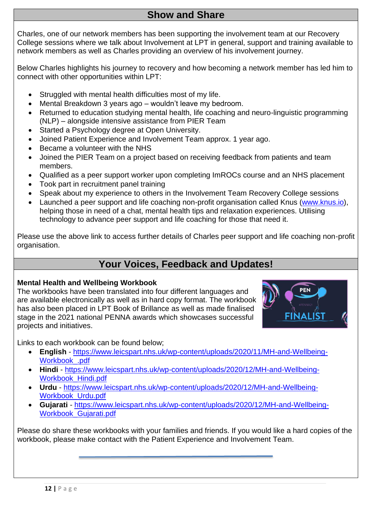## **Show and Share**

Charles, one of our network members has been supporting the involvement team at our Recovery College sessions where we talk about Involvement at LPT in general, support and training available to network members as well as Charles providing an overview of his involvement journey.

Below Charles highlights his journey to recovery and how becoming a network member has led him to connect with other opportunities within LPT:

- Struggled with mental health difficulties most of my life.
- Mental Breakdown 3 years ago wouldn't leave my bedroom.
- Returned to education studying mental health, life coaching and neuro-linguistic programming (NLP) – alongside intensive assistance from PIER Team
- Started a Psychology degree at Open University.
- Joined Patient Experience and Involvement Team approx. 1 year ago.
- Became a volunteer with the NHS
- Joined the PIER Team on a project based on receiving feedback from patients and team members.
- Qualified as a peer support worker upon completing ImROCs course and an NHS placement
- Took part in recruitment panel training
- Speak about my experience to others in the Involvement Team Recovery College sessions
- Launched a peer support and life coaching non-profit organisation called Knus [\(www.knus.io\)](http://www.knus.io/), helping those in need of a chat, mental health tips and relaxation experiences. Utilising technology to advance peer support and life coaching for those that need it.

Please use the above link to access further details of Charles peer support and life coaching non-profit organisation.

## **Your Voices, Feedback and Updates!**

### **Mental Health and Wellbeing Workbook**

The workbooks have been translated into four different languages and are available electronically as well as in hard copy format. The workbook has also been placed in LPT Book of Brillance as well as made finalised stage in the 2021 national PENNA awards which showcases successful projects and initiatives.



Links to each workbook can be found below;

- **English** [https://www.leicspart.nhs.uk/wp-content/uploads/2020/11/MH-and-Wellbeing-](https://www.leicspart.nhs.uk/wp-content/uploads/2020/11/MH-and-Wellbeing-Workbook_.pdf)[Workbook\\_.pdf](https://www.leicspart.nhs.uk/wp-content/uploads/2020/11/MH-and-Wellbeing-Workbook_.pdf)
- **Hindi** [https://www.leicspart.nhs.uk/wp-content/uploads/2020/12/MH-and-Wellbeing-](https://www.leicspart.nhs.uk/wp-content/uploads/2020/12/MH-and-Wellbeing-Workbook_Hindi.pdf)[Workbook\\_Hindi.pdf](https://www.leicspart.nhs.uk/wp-content/uploads/2020/12/MH-and-Wellbeing-Workbook_Hindi.pdf)
- **Urdu** [https://www.leicspart.nhs.uk/wp-content/uploads/2020/12/MH-and-Wellbeing-](https://www.leicspart.nhs.uk/wp-content/uploads/2020/12/MH-and-Wellbeing-Workbook_Urdu.pdf)[Workbook\\_Urdu.pdf](https://www.leicspart.nhs.uk/wp-content/uploads/2020/12/MH-and-Wellbeing-Workbook_Urdu.pdf)
- **Gujarati** [https://www.leicspart.nhs.uk/wp-content/uploads/2020/12/MH-and-Wellbeing-](https://www.leicspart.nhs.uk/wp-content/uploads/2020/12/MH-and-Wellbeing-Workbook_Gujarati.pdf)[Workbook\\_Gujarati.pdf](https://www.leicspart.nhs.uk/wp-content/uploads/2020/12/MH-and-Wellbeing-Workbook_Gujarati.pdf)

Please do share these workbooks with your families and friends. If you would like a hard copies of the workbook, please make contact with the Patient Experience and Involvement Team.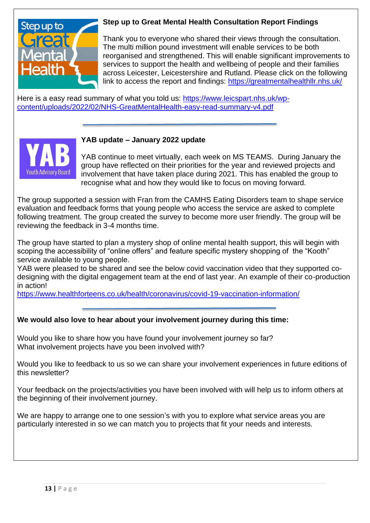

### **Step up to Great Mental Health Consultation Report Findings**

Thank you to everyone who shared their views through the consultation. The multi million pound investment will enable services to be both reorganised and strengthened. This will enable significant improvements to services to support the health and wellbeing of people and their families across Leicester, Leicestershire and Rutland. Please click on the following link to access the report and findings:<https://greatmentalhealthllr.nhs.uk/>

Here is a easy read summary of what you told us: [https://www.leicspart.nhs.uk/wp](https://www.leicspart.nhs.uk/wp-content/uploads/2022/02/NHS-GreatMentalHealth-easy-read-summary-v4.pdf)[content/uploads/2022/02/NHS-GreatMentalHealth-easy-read-summary-v4.pdf](https://www.leicspart.nhs.uk/wp-content/uploads/2022/02/NHS-GreatMentalHealth-easy-read-summary-v4.pdf)



### **YAB update – January 2022 update**

YAB continue to meet virtually, each week on MS TEAMS. During January the group have reflected on their priorities for the year and reviewed projects and involvement that have taken place during 2021. This has enabled the group to recognise what and how they would like to focus on moving forward.

The group supported a session with Fran from the CAMHS Eating Disorders team to shape service evaluation and feedback forms that young people who access the service are asked to complete following treatment. The group created the survey to become more user friendly. The group will be reviewing the feedback in 3-4 months time.

The group have started to plan a mystery shop of online mental health support, this will begin with scoping the accessibility of "online offers" and feature specific mystery shopping of the "Kooth" service available to young people.

YAB were pleased to be shared and see the below covid vaccination video that they supported codesigning with the digital engagement team at the end of last year. An example of their co-production in action!

<https://www.healthforteens.co.uk/health/coronavirus/covid-19-vaccination-information/>

### **We would also love to hear about your involvement journey during this time:**

Would you like to share how you have found your involvement journey so far? What involvement projects have you been involved with?

Would you like to feedback to us so we can share your involvement experiences in future editions of this newsletter?

Your feedback on the projects/activities you have been involved with will help us to inform others at the beginning of their involvement journey.

We are happy to arrange one to one session's with you to explore what service areas you are particularly interested in so we can match you to projects that fit your needs and interests.